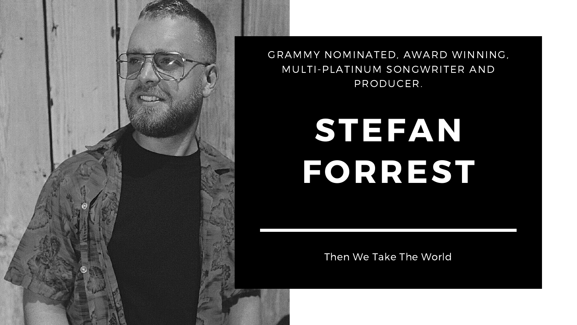# **STEFAN FORREST**

Then We Take The World



GRAMMY NOMINATED, AWARD WINNING, MULTI-PLATINUM SONGWRITER AND PRODUCER.